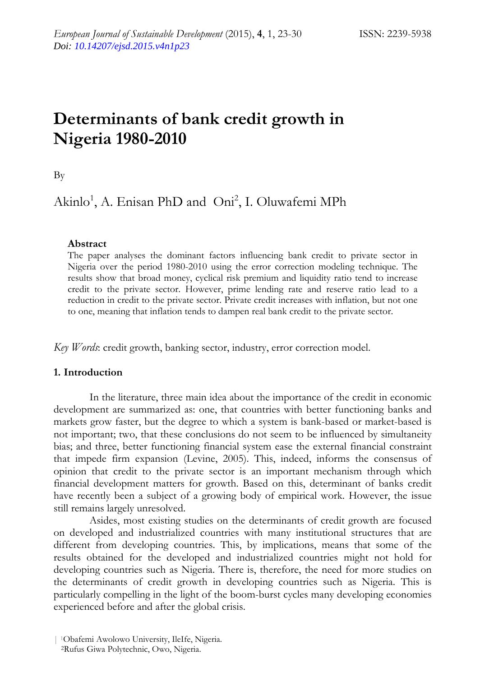# **Determinants of bank credit growth in Nigeria 1980-2010**

By

Akinlo<sup>1</sup>, A. Enisan PhD and Oni<sup>2</sup>, I. Oluwafemi MPh

# **Abstract**

The paper analyses the dominant factors influencing bank credit to private sector in Nigeria over the period 1980-2010 using the error correction modeling technique. The results show that broad money, cyclical risk premium and liquidity ratio tend to increase credit to the private sector. However, prime lending rate and reserve ratio lead to a reduction in credit to the private sector. Private credit increases with inflation, but not one to one, meaning that inflation tends to dampen real bank credit to the private sector.

*Key Words*: credit growth, banking sector, industry, error correction model.

# **1. Introduction**

 In the literature, three main idea about the importance of the credit in economic development are summarized as: one, that countries with better functioning banks and markets grow faster, but the degree to which a system is bank-based or market-based is not important; two, that these conclusions do not seem to be influenced by simultaneity bias; and three, better functioning financial system ease the external financial constraint that impede firm expansion (Levine, 2005). This, indeed, informs the consensus of opinion that credit to the private sector is an important mechanism through which financial development matters for growth. Based on this, determinant of banks credit have recently been a subject of a growing body of empirical work. However, the issue still remains largely unresolved.

 Asides, most existing studies on the determinants of credit growth are focused on developed and industrialized countries with many institutional structures that are different from developing countries. This, by implications, means that some of the results obtained for the developed and industrialized countries might not hold for developing countries such as Nigeria. There is, therefore, the need for more studies on the determinants of credit growth in developing countries such as Nigeria. This is particularly compelling in the light of the boom-burst cycles many developing economies experienced before and after the global crisis.

<sup>| 1</sup>Obafemi Awolowo University, IleIfe, Nigeria. 2Rufus Giwa Polytechnic, Owo, Nigeria.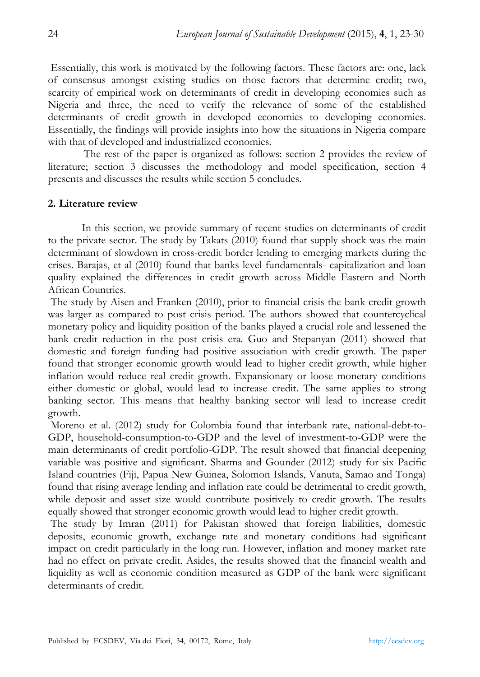Essentially, this work is motivated by the following factors. These factors are: one, lack of consensus amongst existing studies on those factors that determine credit; two, scarcity of empirical work on determinants of credit in developing economies such as Nigeria and three, the need to verify the relevance of some of the established determinants of credit growth in developed economies to developing economies. Essentially, the findings will provide insights into how the situations in Nigeria compare with that of developed and industrialized economies.

 The rest of the paper is organized as follows: section 2 provides the review of literature; section 3 discusses the methodology and model specification, section 4 presents and discusses the results while section 5 concludes.

## **2. Literature review**

In this section, we provide summary of recent studies on determinants of credit to the private sector. The study by Takats (2010) found that supply shock was the main determinant of slowdown in cross-credit border lending to emerging markets during the crises. Barajas, et al (2010) found that banks level fundamentals- capitalization and loan quality explained the differences in credit growth across Middle Eastern and North African Countries.

 The study by Aisen and Franken (2010), prior to financial crisis the bank credit growth was larger as compared to post crisis period. The authors showed that countercyclical monetary policy and liquidity position of the banks played a crucial role and lessened the bank credit reduction in the post crisis era. Guo and Stepanyan (2011) showed that domestic and foreign funding had positive association with credit growth. The paper found that stronger economic growth would lead to higher credit growth, while higher inflation would reduce real credit growth. Expansionary or loose monetary conditions either domestic or global, would lead to increase credit. The same applies to strong banking sector. This means that healthy banking sector will lead to increase credit growth.

 Moreno et al. (2012) study for Colombia found that interbank rate, national-debt-to-GDP, household-consumption-to-GDP and the level of investment-to-GDP were the main determinants of credit portfolio-GDP. The result showed that financial deepening variable was positive and significant. Sharma and Gounder (2012) study for six Pacific Island countries (Fiji, Papua New Guinea, Solomon Islands, Vanuta, Samao and Tonga) found that rising average lending and inflation rate could be detrimental to credit growth, while deposit and asset size would contribute positively to credit growth. The results equally showed that stronger economic growth would lead to higher credit growth.

 The study by Imran (2011) for Pakistan showed that foreign liabilities, domestic deposits, economic growth, exchange rate and monetary conditions had significant impact on credit particularly in the long run. However, inflation and money market rate had no effect on private credit. Asides, the results showed that the financial wealth and liquidity as well as economic condition measured as GDP of the bank were significant determinants of credit.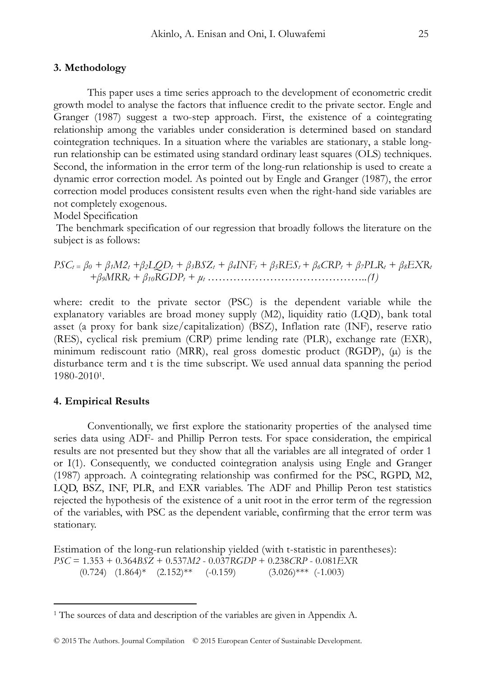#### **3. Methodology**

This paper uses a time series approach to the development of econometric credit growth model to analyse the factors that influence credit to the private sector. Engle and Granger (1987) suggest a two-step approach. First, the existence of a cointegrating relationship among the variables under consideration is determined based on standard cointegration techniques. In a situation where the variables are stationary, a stable longrun relationship can be estimated using standard ordinary least squares (OLS) techniques. Second, the information in the error term of the long-run relationship is used to create a dynamic error correction model. As pointed out by Engle and Granger (1987), the error correction model produces consistent results even when the right-hand side variables are not completely exogenous.

Model Specification

 The benchmark specification of our regression that broadly follows the literature on the subject is as follows:

$$
PSC_t = \beta_0 + \beta_1 M2_t + \beta_2 LQD_t + \beta_3 BSZ_t + \beta_4 INF_t + \beta_5 RES_t + \beta_6 CRP_t + \beta_7 PLR_t + \beta_8 EXR_t
$$
  
+  $\beta_9 MRR_t + \beta_{10} RGDP_t + \mu_t$ .................(1)

where: credit to the private sector (PSC) is the dependent variable while the explanatory variables are broad money supply (M2), liquidity ratio (LQD), bank total asset (a proxy for bank size/capitalization) (BSZ), Inflation rate (INF), reserve ratio (RES), cyclical risk premium (CRP) prime lending rate (PLR), exchange rate (EXR), minimum rediscount ratio (MRR), real gross domestic product (RGDP), (µ) is the disturbance term and t is the time subscript. We used annual data spanning the period 1980-20101.

### **4. Empirical Results**

 $\overline{a}$ 

Conventionally, we first explore the stationarity properties of the analysed time series data using ADF- and Phillip Perron tests. For space consideration, the empirical results are not presented but they show that all the variables are all integrated of order 1 or I(1). Consequently, we conducted cointegration analysis using Engle and Granger (1987) approach. A cointegrating relationship was confirmed for the PSC, RGPD, M2, LQD, BSZ, INF, PLR, and EXR variables. The ADF and Phillip Peron test statistics rejected the hypothesis of the existence of a unit root in the error term of the regression of the variables, with PSC as the dependent variable, confirming that the error term was stationary.

Estimation of the long-run relationship yielded (with t-statistic in parentheses): *PSC* = 1.353 + 0.364*BSZ* + 0.537*M2* - 0.037*RGDP* + 0.238*CRP* - 0.081*EXR*  $(0.724)$   $(1.864)$ \*  $(2.152)$ \*\*  $(-0.159)$   $(3.026)$ \*\*\*  $(-1.003)$ 

<sup>&</sup>lt;sup>1</sup> The sources of data and description of the variables are given in Appendix A.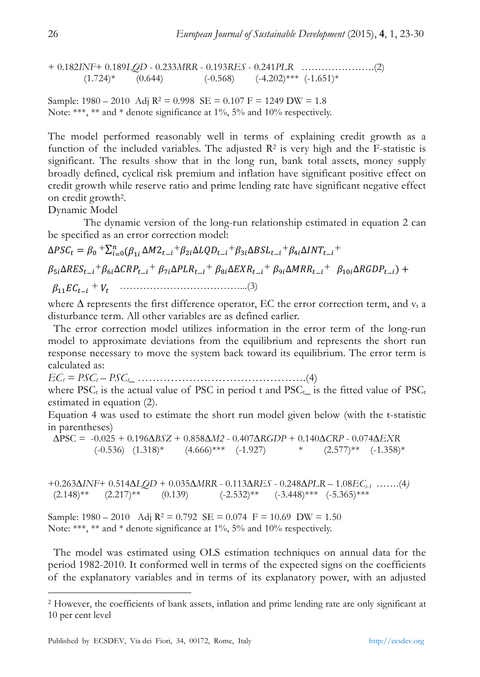+ 0.182*INF*+ 0.189*LQD* - 0.233*MRR* - 0.193*RES* - 0.241*PLR* ………………….(2)  $(1.724)*$   $(0.644)$   $(-0.568)$   $(-4.202)***$   $(-1.651)*$ 

Sample:  $1980 - 2010$  Adj  $R^2 = 0.998$  SE =  $0.107$  F = 1249 DW = 1.8 Note: \*\*\*, \*\* and \* denote significance at 1%, 5% and 10% respectively.

The model performed reasonably well in terms of explaining credit growth as a function of the included variables. The adjusted  $R<sup>2</sup>$  is very high and the F-statistic is significant. The results show that in the long run, bank total assets, money supply broadly defined, cyclical risk premium and inflation have significant positive effect on credit growth while reserve ratio and prime lending rate have significant negative effect on credit growth2.

Dynamic Model

 $\overline{a}$ 

 The dynamic version of the long-run relationship estimated in equation 2 can be specified as an error correction model:

 $\Delta PSC_t = \beta_0 + \sum_{i=0}^n (\beta_{1i} \Delta M2_{t-i} + \beta_{2i} \Delta LQD_{t-i} + \beta_{3i} \Delta BSL_{t-i} + \beta_{4i} \Delta INT_{t-i} +$  $\beta_{5i}\Delta RES_{t-i} + \beta_{6i}\Delta CRP_{t-i} + \beta_{7i}\Delta PLR_{t-i} + \beta_{8i}\Delta EXP_{t-i} + \beta_{9i}\Delta MRR_{t-i} + \beta_{10i}\Delta RGBP_{t-i}) +$ ି௧ܥܧଵଵߚ + ܸ௧ ………………………………...(3)

where  $\Delta$  represents the first difference operator, EC the error correction term, and v<sub>t</sub> a disturbance term. All other variables are as defined earlier.

 The error correction model utilizes information in the error term of the long-run model to approximate deviations from the equilibrium and represents the short run response necessary to move the system back toward its equilibrium. The error term is calculated as:

 $EC_t = PSC_t - PSC_t$  ……………………………………………………….(4)

where PSC<sub>t</sub> is the actual value of PSC in period t and PSC<sub>t</sub> is the fitted value of PSC<sub>t</sub> estimated in equation (2).

Equation 4 was used to estimate the short run model given below (with the t-statistic in parentheses)

 ∆PSC = -0.025 + 0.196*∆BSZ* + 0.858*∆M2* - 0.407*∆RGDP* + 0.140*∆CRP* - 0.074*∆EXR*  $(-0.536)$   $(1.318)*$   $(4.666)***$   $(-1.927)$  \*  $(2.577)**$   $(-1.358)*$ 

+0.263*∆INF*+ 0.514*∆LQD* + 0.035*∆MRR* - 0.113*∆RES* - 0.248*∆PLR* – 1.08*ECt-1* …….(4*)*  $(2.148)$ <sup>\*\*</sup>  $(2.217)$ <sup>\*\*</sup>  $(0.139)$   $(-2.532)$ <sup>\*\*</sup>  $(-3.448)$ <sup>\*\*\*</sup>  $(-5.365)$ <sup>\*\*\*</sup>

Sample:  $1980 - 2010$  Adj  $R^2 = 0.792$  SE =  $0.074$  F = 10.69 DW = 1.50 Note: \*\*\*, \*\* and \* denote significance at 1%, 5% and 10% respectively.

 The model was estimated using OLS estimation techniques on annual data for the period 1982-2010. It conformed well in terms of the expected signs on the coefficients of the explanatory variables and in terms of its explanatory power, with an adjusted

<sup>2</sup> However, the coefficients of bank assets, inflation and prime lending rate are only significant at 10 per cent level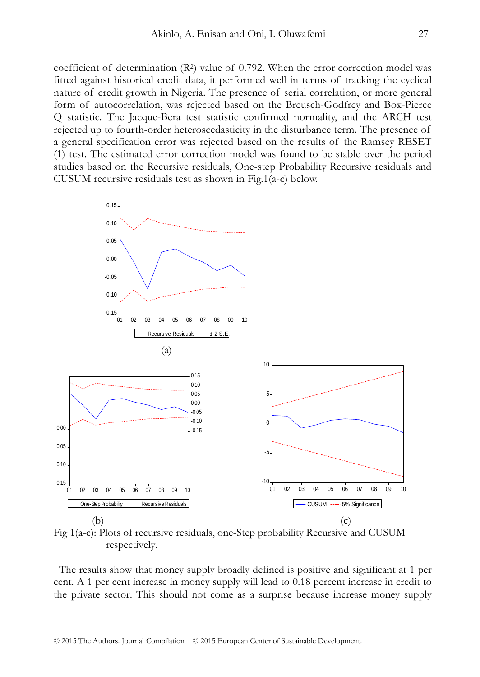coefficient of determination  $(R^2)$  value of 0.792. When the error correction model was fitted against historical credit data, it performed well in terms of tracking the cyclical nature of credit growth in Nigeria. The presence of serial correlation, or more general form of autocorrelation, was rejected based on the Breusch-Godfrey and Box-Pierce Q statistic. The Jacque-Bera test statistic confirmed normality, and the ARCH test rejected up to fourth-order heteroscedasticity in the disturbance term. The presence of a general specification error was rejected based on the results of the Ramsey RESET (1) test. The estimated error correction model was found to be stable over the period studies based on the Recursive residuals, One-step Probability Recursive residuals and CUSUM recursive residuals test as shown in Fig.1(a-c) below.



Fig 1(a-c): Plots of recursive residuals, one-Step probability Recursive and CUSUM respectively.

 The results show that money supply broadly defined is positive and significant at 1 per cent. A 1 per cent increase in money supply will lead to 0.18 percent increase in credit to the private sector. This should not come as a surprise because increase money supply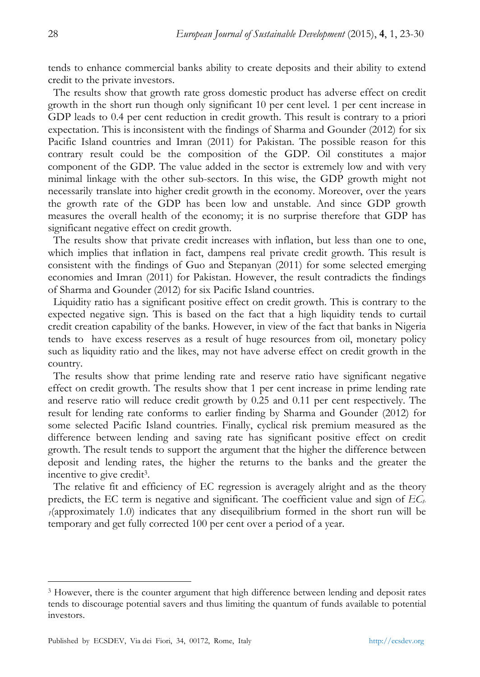tends to enhance commercial banks ability to create deposits and their ability to extend credit to the private investors.

 The results show that growth rate gross domestic product has adverse effect on credit growth in the short run though only significant 10 per cent level. 1 per cent increase in GDP leads to 0.4 per cent reduction in credit growth. This result is contrary to a priori expectation. This is inconsistent with the findings of Sharma and Gounder (2012) for six Pacific Island countries and Imran (2011) for Pakistan. The possible reason for this contrary result could be the composition of the GDP. Oil constitutes a major component of the GDP. The value added in the sector is extremely low and with very minimal linkage with the other sub-sectors. In this wise, the GDP growth might not necessarily translate into higher credit growth in the economy. Moreover, over the years the growth rate of the GDP has been low and unstable. And since GDP growth measures the overall health of the economy; it is no surprise therefore that GDP has significant negative effect on credit growth.

 The results show that private credit increases with inflation, but less than one to one, which implies that inflation in fact, dampens real private credit growth. This result is consistent with the findings of Guo and Stepanyan (2011) for some selected emerging economies and Imran (2011) for Pakistan. However, the result contradicts the findings of Sharma and Gounder (2012) for six Pacific Island countries.

 Liquidity ratio has a significant positive effect on credit growth. This is contrary to the expected negative sign. This is based on the fact that a high liquidity tends to curtail credit creation capability of the banks. However, in view of the fact that banks in Nigeria tends to have excess reserves as a result of huge resources from oil, monetary policy such as liquidity ratio and the likes, may not have adverse effect on credit growth in the country.

 The results show that prime lending rate and reserve ratio have significant negative effect on credit growth. The results show that 1 per cent increase in prime lending rate and reserve ratio will reduce credit growth by 0.25 and 0.11 per cent respectively. The result for lending rate conforms to earlier finding by Sharma and Gounder (2012) for some selected Pacific Island countries. Finally, cyclical risk premium measured as the difference between lending and saving rate has significant positive effect on credit growth. The result tends to support the argument that the higher the difference between deposit and lending rates, the higher the returns to the banks and the greater the incentive to give credit3.

 The relative fit and efficiency of EC regression is averagely alright and as the theory predicts, the EC term is negative and significant. The coefficient value and sign of  $EC_t$ *<sup>1</sup>*(approximately 1.0) indicates that any disequilibrium formed in the short run will be temporary and get fully corrected 100 per cent over a period of a year.

 $\overline{a}$ 

<sup>&</sup>lt;sup>3</sup> However, there is the counter argument that high difference between lending and deposit rates tends to discourage potential savers and thus limiting the quantum of funds available to potential investors.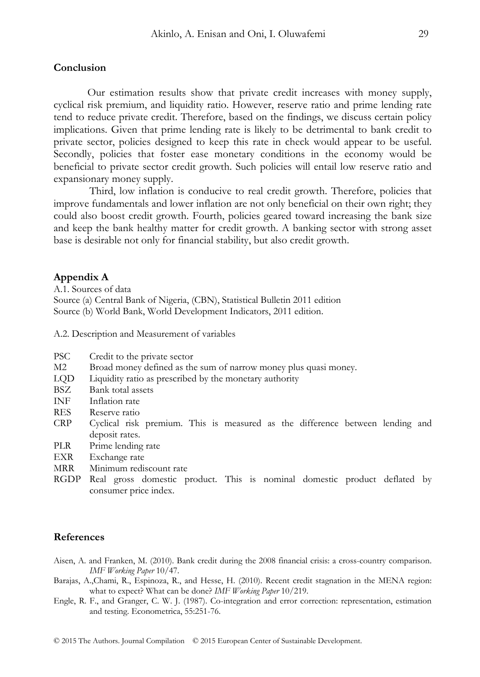# **Conclusion**

Our estimation results show that private credit increases with money supply, cyclical risk premium, and liquidity ratio. However, reserve ratio and prime lending rate tend to reduce private credit. Therefore, based on the findings, we discuss certain policy implications. Given that prime lending rate is likely to be detrimental to bank credit to private sector, policies designed to keep this rate in check would appear to be useful. Secondly, policies that foster ease monetary conditions in the economy would be beneficial to private sector credit growth. Such policies will entail low reserve ratio and expansionary money supply.

 Third, low inflation is conducive to real credit growth. Therefore, policies that improve fundamentals and lower inflation are not only beneficial on their own right; they could also boost credit growth. Fourth, policies geared toward increasing the bank size and keep the bank healthy matter for credit growth. A banking sector with strong asset base is desirable not only for financial stability, but also credit growth.

#### **Appendix A**

A.1. Sources of data Source (a) Central Bank of Nigeria, (CBN), Statistical Bulletin 2011 edition Source (b) World Bank, World Development Indicators, 2011 edition.

A.2. Description and Measurement of variables

- PSC Credit to the private sector
- M2 Broad money defined as the sum of narrow money plus quasi money.
- LQD Liquidity ratio as prescribed by the monetary authority
- BSZ Bank total assets
- INF Inflation rate
- RES Reserve ratio
- CRP Cyclical risk premium. This is measured as the difference between lending and deposit rates.
- PLR Prime lending rate
- EXR Exchange rate
- MRR Minimum rediscount rate
- RGDP Real gross domestic product. This is nominal domestic product deflated by consumer price index.

#### **References**

- Aisen, A. and Franken, M. (2010). Bank credit during the 2008 financial crisis: a cross-country comparison. *IMF Working Paper* 10/47.
- Barajas, A.,Chami, R., Espinoza, R., and Hesse, H. (2010). Recent credit stagnation in the MENA region: what to expect? What can be done? *IMF Working Paper* 10/219.
- Engle, R. F., and Granger, C. W. J. (1987). Co-integration and error correction: representation, estimation and testing. Econometrica, 55:251-76.